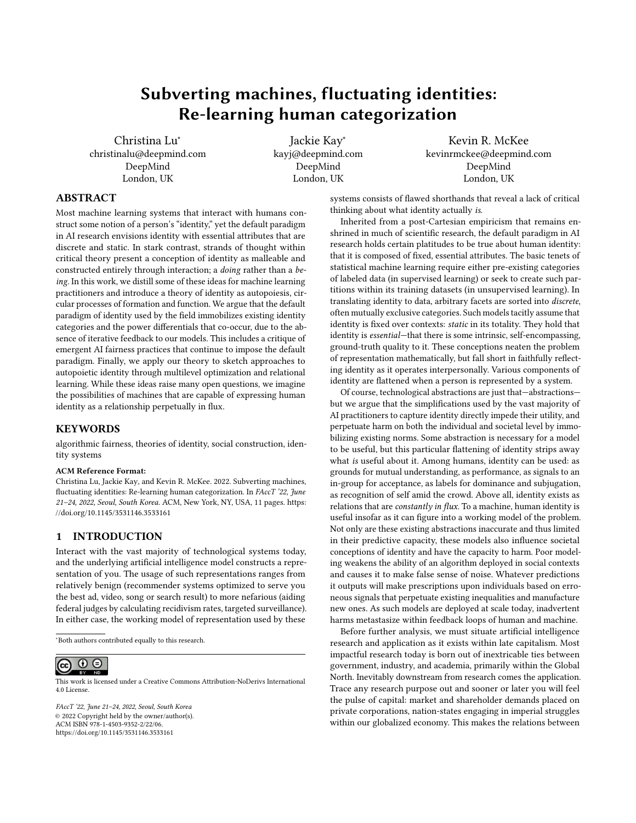# Subverting machines, fluctuating identities: Re-learning human categorization

[Christina Lu](https://orcid.org/0000-0002-3969-8923)<sup>∗</sup> christinalu@deepmind.com DeepMind London, UK

[Jackie Kay](https://orcid.org/0000-0001-9593-695X)<sup>∗</sup> kayj@deepmind.com DeepMind London, UK

[Kevin R. McKee](https://orcid.org/0000-0002-4412-1686) kevinrmckee@deepmind.com DeepMind London, UK

# ABSTRACT

Most machine learning systems that interact with humans construct some notion of a person's "identity," yet the default paradigm in AI research envisions identity with essential attributes that are discrete and static. In stark contrast, strands of thought within critical theory present a conception of identity as malleable and constructed entirely through interaction; a doing rather than a being. In this work, we distill some of these ideas for machine learning practitioners and introduce a theory of identity as autopoiesis, circular processes of formation and function. We argue that the default paradigm of identity used by the field immobilizes existing identity categories and the power differentials that co-occur, due to the absence of iterative feedback to our models. This includes a critique of emergent AI fairness practices that continue to impose the default paradigm. Finally, we apply our theory to sketch approaches to autopoietic identity through multilevel optimization and relational learning. While these ideas raise many open questions, we imagine the possibilities of machines that are capable of expressing human identity as a relationship perpetually in flux.

## **KEYWORDS**

algorithmic fairness, theories of identity, social construction, identity systems

#### ACM Reference Format:

Christina Lu, Jackie Kay, and Kevin R. McKee. 2022. Subverting machines, fluctuating identities: Re-learning human categorization. In FAccT '22, June 21–24, 2022, Seoul, South Korea. ACM, New York, NY, USA, [11](#page-10-0) pages. [https:](https://doi.org/10.1145/3531146.3533161) [//doi.org/10.1145/3531146.3533161](https://doi.org/10.1145/3531146.3533161)

## 1 INTRODUCTION

Interact with the vast majority of technological systems today, and the underlying artificial intelligence model constructs a representation of you. The usage of such representations ranges from relatively benign (recommender systems optimized to serve you the best ad, video, song or search result) to more nefarious (aiding federal judges by calculating recidivism rates, targeted surveillance). In either case, the working model of representation used by these

<sup>∗</sup>Both authors contributed equally to this research.

#### $\odot$  $\odot$  $(cc)$

This work is licensed under a [Creative Commons Attribution-NoDerivs International](https://creativecommons.org/licenses/by-nd/4.0/) [4.0 License.](https://creativecommons.org/licenses/by-nd/4.0/)

FAccT '22, June 21–24, 2022, Seoul, South Korea © 2022 Copyright held by the owner/author(s). ACM ISBN 978-1-4503-9352-2/22/06. <https://doi.org/10.1145/3531146.3533161>

systems consists of flawed shorthands that reveal a lack of critical thinking about what identity actually is.

Inherited from a post-Cartesian empiricism that remains enshrined in much of scientific research, the default paradigm in AI research holds certain platitudes to be true about human identity: that it is composed of fixed, essential attributes. The basic tenets of statistical machine learning require either pre-existing categories of labeled data (in supervised learning) or seek to create such partitions within its training datasets (in unsupervised learning). In translating identity to data, arbitrary facets are sorted into discrete, often mutually exclusive categories. Such models tacitly assume that identity is fixed over contexts: static in its totality. They hold that identity is essential—that there is some intrinsic, self-encompassing, ground-truth quality to it. These conceptions neaten the problem of representation mathematically, but fall short in faithfully reflecting identity as it operates interpersonally. Various components of identity are flattened when a person is represented by a system.

Of course, technological abstractions are just that—abstractions but we argue that the simplifications used by the vast majority of AI practitioners to capture identity directly impede their utility, and perpetuate harm on both the individual and societal level by immobilizing existing norms. Some abstraction is necessary for a model to be useful, but this particular flattening of identity strips away what is useful about it. Among humans, identity can be used: as grounds for mutual understanding, as performance, as signals to an in-group for acceptance, as labels for dominance and subjugation, as recognition of self amid the crowd. Above all, identity exists as relations that are constantly in flux. To a machine, human identity is useful insofar as it can figure into a working model of the problem. Not only are these existing abstractions inaccurate and thus limited in their predictive capacity, these models also influence societal conceptions of identity and have the capacity to harm. Poor modeling weakens the ability of an algorithm deployed in social contexts and causes it to make false sense of noise. Whatever predictions it outputs will make prescriptions upon individuals based on erroneous signals that perpetuate existing inequalities and manufacture new ones. As such models are deployed at scale today, inadvertent harms metastasize within feedback loops of human and machine.

Before further analysis, we must situate artificial intelligence research and application as it exists within late capitalism. Most impactful research today is born out of inextricable ties between government, industry, and academia, primarily within the Global North. Inevitably downstream from research comes the application. Trace any research purpose out and sooner or later you will feel the pulse of capital: market and shareholder demands placed on private corporations, nation-states engaging in imperial struggles within our globalized economy. This makes the relations between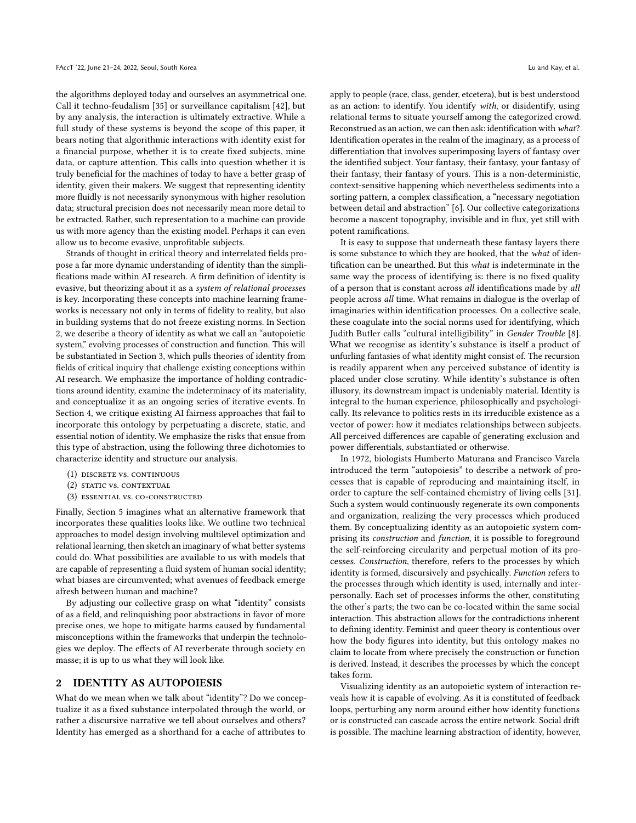the algorithms deployed today and ourselves an asymmetrical one. Call it techno-feudalism [\[35\]](#page-10-1) or surveillance capitalism [\[42\]](#page-10-2), but by any analysis, the interaction is ultimately extractive. While a full study of these systems is beyond the scope of this paper, it bears noting that algorithmic interactions with identity exist for a financial purpose, whether it is to create fixed subjects, mine data, or capture attention. This calls into question whether it is truly beneficial for the machines of today to have a better grasp of identity, given their makers. We suggest that representing identity more fluidly is not necessarily synonymous with higher resolution data; structural precision does not necessarily mean more detail to be extracted. Rather, such representation to a machine can provide us with more agency than the existing model. Perhaps it can even allow us to become evasive, unprofitable subjects.

Strands of thought in critical theory and interrelated fields propose a far more dynamic understanding of identity than the simplifications made within AI research. A firm definition of identity is evasive, but theorizing about it as a system of relational processes is key. Incorporating these concepts into machine learning frameworks is necessary not only in terms of fidelity to reality, but also in building systems that do not freeze existing norms. In Section [2,](#page-1-0) we describe a theory of identity as what we call an "autopoietic system," evolving processes of construction and function. This will be substantiated in Section [3,](#page-2-0) which pulls theories of identity from fields of critical inquiry that challenge existing conceptions within AI research. We emphasize the importance of holding contradictions around identity, examine the indeterminacy of its materiality, and conceptualize it as an ongoing series of iterative events. In Section [4,](#page-4-0) we critique existing AI fairness approaches that fail to incorporate this ontology by perpetuating a discrete, static, and essential notion of identity. We emphasize the risks that ensue from this type of abstraction, using the following three dichotomies to characterize identity and structure our analysis.

- (1) discrete vs. continuous
- (2) STATIC VS. CONTEXTUAL
- (3) essential vs. co-constructed

Finally, Section [5](#page-6-0) imagines what an alternative framework that incorporates these qualities looks like. We outline two technical approaches to model design involving multilevel optimization and relational learning, then sketch an imaginary of what better systems could do. What possibilities are available to us with models that are capable of representing a fluid system of human social identity; what biases are circumvented; what avenues of feedback emerge afresh between human and machine?

By adjusting our collective grasp on what "identity" consists of as a field, and relinquishing poor abstractions in favor of more precise ones, we hope to mitigate harms caused by fundamental misconceptions within the frameworks that underpin the technologies we deploy. The effects of AI reverberate through society en masse; it is up to us what they will look like.

#### <span id="page-1-0"></span>2 IDENTITY AS AUTOPOIESIS

What do we mean when we talk about "identity"? Do we conceptualize it as a fixed substance interpolated through the world, or rather a discursive narrative we tell about ourselves and others? Identity has emerged as a shorthand for a cache of attributes to

apply to people (race, class, gender, etcetera), but is best understood as an action: to identify. You identify with, or disidentify, using relational terms to situate yourself among the categorized crowd. Reconstrued as an action, we can then ask: identification with what? Identification operates in the realm of the imaginary, as a process of differentiation that involves superimposing layers of fantasy over the identified subject. Your fantasy, their fantasy, your fantasy of their fantasy, their fantasy of yours. This is a non-deterministic, context-sensitive happening which nevertheless sediments into a sorting pattern, a complex classification, a "necessary negotiation between detail and abstraction" [\[6\]](#page-9-0). Our collective categorizations become a nascent topography, invisible and in flux, yet still with potent ramifications.

It is easy to suppose that underneath these fantasy layers there is some substance to which they are hooked, that the what of identification can be unearthed. But this what is indeterminate in the same way the process of identifying is: there is no fixed quality of a person that is constant across all identifications made by all people across all time. What remains in dialogue is the overlap of imaginaries within identification processes. On a collective scale, these coagulate into the social norms used for identifying, which Judith Butler calls "cultural intelligibility" in Gender Trouble [\[8\]](#page-9-1). What we recognise as identity's substance is itself a product of unfurling fantasies of what identity might consist of. The recursion is readily apparent when any perceived substance of identity is placed under close scrutiny. While identity's substance is often illusory, its downstream impact is undeniably material. Identity is integral to the human experience, philosophically and psychologically. Its relevance to politics rests in its irreducible existence as a vector of power: how it mediates relationships between subjects. All perceived differences are capable of generating exclusion and power differentials, substantiated or otherwise.

In 1972, biologists Humberto Maturana and Francisco Varela introduced the term "autopoiesis" to describe a network of processes that is capable of reproducing and maintaining itself, in order to capture the self-contained chemistry of living cells [\[31\]](#page-9-2). Such a system would continuously regenerate its own components and organization, realizing the very processes which produced them. By conceptualizing identity as an autopoietic system comprising its construction and function, it is possible to foreground the self-reinforcing circularity and perpetual motion of its processes. Construction, therefore, refers to the processes by which identity is formed, discursively and psychically. Function refers to the processes through which identity is used, internally and interpersonally. Each set of processes informs the other, constituting the other's parts; the two can be co-located within the same social interaction. This abstraction allows for the contradictions inherent to defining identity. Feminist and queer theory is contentious over how the body figures into identity, but this ontology makes no claim to locate from where precisely the construction or function is derived. Instead, it describes the processes by which the concept takes form.

Visualizing identity as an autopoietic system of interaction reveals how it is capable of evolving. As it is constituted of feedback loops, perturbing any norm around either how identity functions or is constructed can cascade across the entire network. Social drift is possible. The machine learning abstraction of identity, however,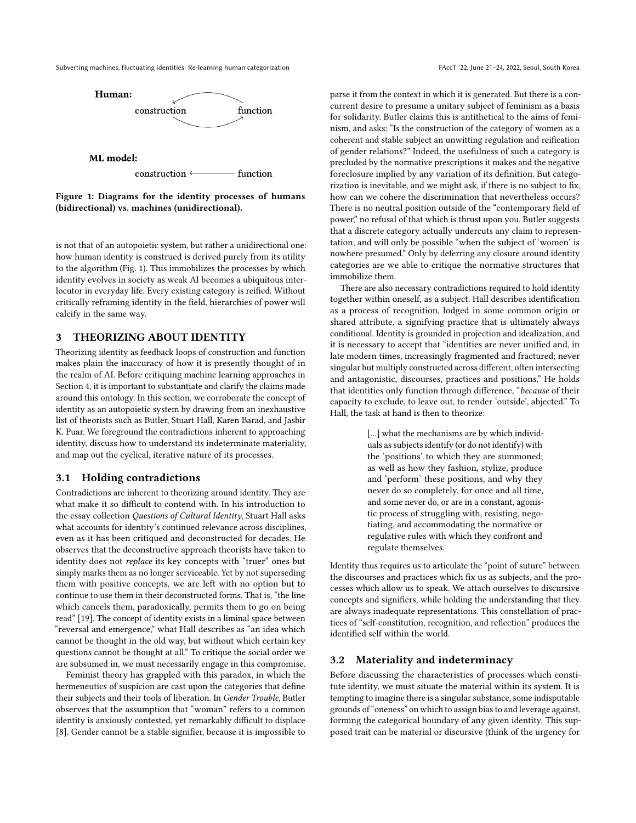<span id="page-2-1"></span>Subverting machines, fluctuating identities: Re-learning human categorization FACC 122, June 21-24, 2022, Seoul, South Korea



Figure 1: Diagrams for the identity processes of humans (bidirectional) vs. machines (unidirectional).

is not that of an autopoietic system, but rather a unidirectional one: how human identity is construed is derived purely from its utility to the algorithm (Fig. [1\)](#page-2-1). This immobilizes the processes by which identity evolves in society as weak AI becomes a ubiquitous interlocutor in everyday life. Every existing category is reified. Without critically reframing identity in the field, hierarchies of power will calcify in the same way.

# <span id="page-2-0"></span>3 THEORIZING ABOUT IDENTITY

Theorizing identity as feedback loops of construction and function makes plain the inaccuracy of how it is presently thought of in the realm of AI. Before critiquing machine learning approaches in Section [4,](#page-4-0) it is important to substantiate and clarify the claims made around this ontology. In this section, we corroborate the concept of identity as an autopoietic system by drawing from an inexhaustive list of theorists such as Butler, Stuart Hall, Karen Barad, and Jasbir K. Puar. We foreground the contradictions inherent to approaching identity, discuss how to understand its indeterminate materiality, and map out the cyclical, iterative nature of its processes.

## 3.1 Holding contradictions

Contradictions are inherent to theorizing around identity. They are what make it so difficult to contend with. In his introduction to the essay collection Questions of Cultural Identity, Stuart Hall asks what accounts for identity's continued relevance across disciplines, even as it has been critiqued and deconstructed for decades. He observes that the deconstructive approach theorists have taken to identity does not replace its key concepts with "truer" ones but simply marks them as no longer serviceable. Yet by not superseding them with positive concepts, we are left with no option but to continue to use them in their deconstructed forms. That is, "the line which cancels them, paradoxically, permits them to go on being read" [\[19\]](#page-9-3). The concept of identity exists in a liminal space between "reversal and emergence," what Hall describes as "an idea which cannot be thought in the old way, but without which certain key questions cannot be thought at all." To critique the social order we are subsumed in, we must necessarily engage in this compromise.

Feminist theory has grappled with this paradox, in which the hermeneutics of suspicion are cast upon the categories that define their subjects and their tools of liberation. In Gender Trouble, Butler observes that the assumption that "woman" refers to a common identity is anxiously contested, yet remarkably difficult to displace [\[8\]](#page-9-1). Gender cannot be a stable signifier, because it is impossible to parse it from the context in which it is generated. But there is a concurrent desire to presume a unitary subject of feminism as a basis for solidarity. Butler claims this is antithetical to the aims of feminism, and asks: "Is the construction of the category of women as a coherent and stable subject an unwitting regulation and reification of gender relations?" Indeed, the usefulness of such a category is precluded by the normative prescriptions it makes and the negative foreclosure implied by any variation of its definition. But categorization is inevitable, and we might ask, if there is no subject to fix, how can we cohere the discrimination that nevertheless occurs? There is no neutral position outside of the "contemporary field of power," no refusal of that which is thrust upon you. Butler suggests that a discrete category actually undercuts any claim to representation, and will only be possible "when the subject of 'women' is nowhere presumed." Only by deferring any closure around identity categories are we able to critique the normative structures that immobilize them.

There are also necessary contradictions required to hold identity together within oneself, as a subject. Hall describes identification as a process of recognition, lodged in some common origin or shared attribute, a signifying practice that is ultimately always conditional. Identity is grounded in projection and idealization, and it is necessary to accept that "identities are never unified and, in late modern times, increasingly fragmented and fractured; never singular but multiply constructed across different, often intersecting and antagonistic, discourses, practices and positions." He holds that identities only function through difference, "because of their capacity to exclude, to leave out, to render 'outside', abjected." To Hall, the task at hand is then to theorize:

> [...] what the mechanisms are by which individuals as subjects identify (or do not identify) with the 'positions' to which they are summoned; as well as how they fashion, stylize, produce and 'perform' these positions, and why they never do so completely, for once and all time, and some never do, or are in a constant, agonistic process of struggling with, resisting, negotiating, and accommodating the normative or regulative rules with which they confront and regulate themselves.

Identity thus requires us to articulate the "point of suture" between the discourses and practices which fix us as subjects, and the processes which allow us to speak. We attach ourselves to discursive concepts and signifiers, while holding the understanding that they are always inadequate representations. This constellation of practices of "self-constitution, recognition, and reflection" produces the identified self within the world.

## 3.2 Materiality and indeterminacy

Before discussing the characteristics of processes which constitute identity, we must situate the material within its system. It is tempting to imagine there is a singular substance, some indisputable grounds of "oneness" on which to assign bias to and leverage against, forming the categorical boundary of any given identity. This supposed trait can be material or discursive (think of the urgency for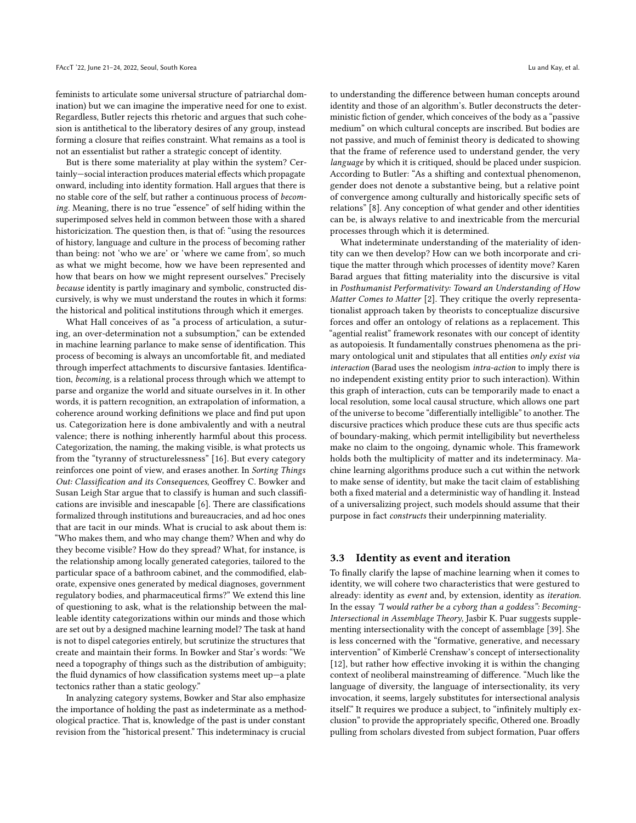feminists to articulate some universal structure of patriarchal domination) but we can imagine the imperative need for one to exist. Regardless, Butler rejects this rhetoric and argues that such cohesion is antithetical to the liberatory desires of any group, instead forming a closure that reifies constraint. What remains as a tool is not an essentialist but rather a strategic concept of identity.

But is there some materiality at play within the system? Certainly—social interaction produces material effects which propagate onward, including into identity formation. Hall argues that there is no stable core of the self, but rather a continuous process of becoming. Meaning, there is no true "essence" of self hiding within the superimposed selves held in common between those with a shared historicization. The question then, is that of: "using the resources of history, language and culture in the process of becoming rather than being: not 'who we are' or 'where we came from', so much as what we might become, how we have been represented and how that bears on how we might represent ourselves." Precisely because identity is partly imaginary and symbolic, constructed discursively, is why we must understand the routes in which it forms: the historical and political institutions through which it emerges.

What Hall conceives of as "a process of articulation, a suturing, an over-determination not a subsumption," can be extended in machine learning parlance to make sense of identification. This process of becoming is always an uncomfortable fit, and mediated through imperfect attachments to discursive fantasies. Identification, becoming, is a relational process through which we attempt to parse and organize the world and situate ourselves in it. In other words, it is pattern recognition, an extrapolation of information, a coherence around working definitions we place and find put upon us. Categorization here is done ambivalently and with a neutral valence; there is nothing inherently harmful about this process. Categorization, the naming, the making visible, is what protects us from the "tyranny of structurelessness" [\[16\]](#page-9-4). But every category reinforces one point of view, and erases another. In Sorting Things Out: Classification and its Consequences, Geoffrey C. Bowker and Susan Leigh Star argue that to classify is human and such classifications are invisible and inescapable [\[6\]](#page-9-0). There are classifications formalized through institutions and bureaucracies, and ad hoc ones that are tacit in our minds. What is crucial to ask about them is: "Who makes them, and who may change them? When and why do they become visible? How do they spread? What, for instance, is the relationship among locally generated categories, tailored to the particular space of a bathroom cabinet, and the commodified, elaborate, expensive ones generated by medical diagnoses, government regulatory bodies, and pharmaceutical firms?" We extend this line of questioning to ask, what is the relationship between the malleable identity categorizations within our minds and those which are set out by a designed machine learning model? The task at hand is not to dispel categories entirely, but scrutinize the structures that create and maintain their forms. In Bowker and Star's words: "We need a topography of things such as the distribution of ambiguity; the fluid dynamics of how classification systems meet up—a plate tectonics rather than a static geology."

In analyzing category systems, Bowker and Star also emphasize the importance of holding the past as indeterminate as a methodological practice. That is, knowledge of the past is under constant revision from the "historical present." This indeterminacy is crucial

to understanding the difference between human concepts around identity and those of an algorithm's. Butler deconstructs the deterministic fiction of gender, which conceives of the body as a "passive medium" on which cultural concepts are inscribed. But bodies are not passive, and much of feminist theory is dedicated to showing that the frame of reference used to understand gender, the very language by which it is critiqued, should be placed under suspicion. According to Butler: "As a shifting and contextual phenomenon, gender does not denote a substantive being, but a relative point of convergence among culturally and historically specific sets of relations" [\[8\]](#page-9-1). Any conception of what gender and other identities can be, is always relative to and inextricable from the mercurial processes through which it is determined.

What indeterminate understanding of the materiality of identity can we then develop? How can we both incorporate and critique the matter through which processes of identity move? Karen Barad argues that fitting materiality into the discursive is vital in Posthumanist Performativity: Toward an Understanding of How Matter Comes to Matter [\[2\]](#page-9-5). They critique the overly representationalist approach taken by theorists to conceptualize discursive forces and offer an ontology of relations as a replacement. This "agential realist" framework resonates with our concept of identity as autopoiesis. It fundamentally construes phenomena as the primary ontological unit and stipulates that all entities only exist via interaction (Barad uses the neologism intra-action to imply there is no independent existing entity prior to such interaction). Within this graph of interaction, cuts can be temporarily made to enact a local resolution, some local causal structure, which allows one part of the universe to become "differentially intelligible" to another. The discursive practices which produce these cuts are thus specific acts of boundary-making, which permit intelligibility but nevertheless make no claim to the ongoing, dynamic whole. This framework holds both the multiplicity of matter and its indeterminacy. Machine learning algorithms produce such a cut within the network to make sense of identity, but make the tacit claim of establishing both a fixed material and a deterministic way of handling it. Instead of a universalizing project, such models should assume that their purpose in fact constructs their underpinning materiality.

#### 3.3 Identity as event and iteration

To finally clarify the lapse of machine learning when it comes to identity, we will cohere two characteristics that were gestured to already: identity as event and, by extension, identity as iteration. In the essay "I would rather be a cyborg than a goddess": Becoming-Intersectional in Assemblage Theory, Jasbir K. Puar suggests supplementing intersectionality with the concept of assemblage [\[39\]](#page-10-3). She is less concerned with the "formative, generative, and necessary intervention" of Kimberlé Crenshaw's concept of intersectionality [\[12\]](#page-9-6), but rather how effective invoking it is within the changing context of neoliberal mainstreaming of difference. "Much like the language of diversity, the language of intersectionality, its very invocation, it seems, largely substitutes for intersectional analysis itself." It requires we produce a subject, to "infinitely multiply exclusion" to provide the appropriately specific, Othered one. Broadly pulling from scholars divested from subject formation, Puar offers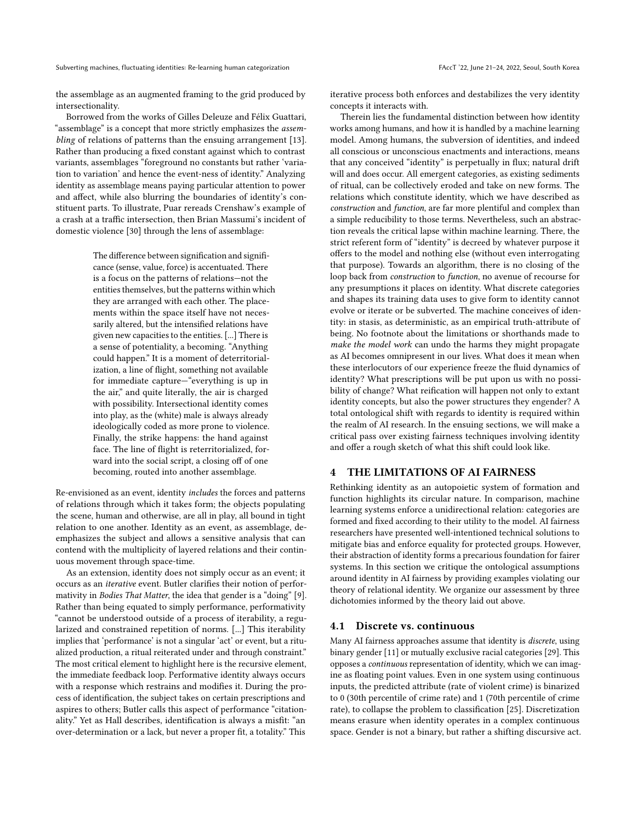the assemblage as an augmented framing to the grid produced by intersectionality.

Borrowed from the works of Gilles Deleuze and Félix Guattari, "assemblage" is a concept that more strictly emphasizes the *assem*bling of relations of patterns than the ensuing arrangement [\[13\]](#page-9-7). Rather than producing a fixed constant against which to contrast variants, assemblages "foreground no constants but rather 'variation to variation' and hence the event-ness of identity." Analyzing identity as assemblage means paying particular attention to power and affect, while also blurring the boundaries of identity's constituent parts. To illustrate, Puar rereads Crenshaw's example of a crash at a traffic intersection, then Brian Massumi's incident of domestic violence [\[30\]](#page-9-8) through the lens of assemblage:

> The difference between signification and significance (sense, value, force) is accentuated. There is a focus on the patterns of relations—not the entities themselves, but the patterns within which they are arranged with each other. The placements within the space itself have not necessarily altered, but the intensified relations have given new capacities to the entities. [...] There is a sense of potentiality, a becoming. "Anything could happen." It is a moment of deterritorialization, a line of flight, something not available for immediate capture—"everything is up in the air," and quite literally, the air is charged with possibility. Intersectional identity comes into play, as the (white) male is always already ideologically coded as more prone to violence. Finally, the strike happens: the hand against face. The line of flight is reterritorialized, forward into the social script, a closing off of one becoming, routed into another assemblage.

Re-envisioned as an event, identity includes the forces and patterns of relations through which it takes form; the objects populating the scene, human and otherwise, are all in play, all bound in tight relation to one another. Identity as an event, as assemblage, deemphasizes the subject and allows a sensitive analysis that can contend with the multiplicity of layered relations and their continuous movement through space-time.

As an extension, identity does not simply occur as an event; it occurs as an iterative event. Butler clarifies their notion of performativity in Bodies That Matter, the idea that gender is a "doing" [\[9\]](#page-9-9). Rather than being equated to simply performance, performativity "cannot be understood outside of a process of iterability, a regularized and constrained repetition of norms. [...] This iterability implies that 'performance' is not a singular 'act' or event, but a ritualized production, a ritual reiterated under and through constraint." The most critical element to highlight here is the recursive element, the immediate feedback loop. Performative identity always occurs with a response which restrains and modifies it. During the process of identification, the subject takes on certain prescriptions and aspires to others; Butler calls this aspect of performance "citationality." Yet as Hall describes, identification is always a misfit: "an over-determination or a lack, but never a proper fit, a totality." This

iterative process both enforces and destabilizes the very identity concepts it interacts with.

Therein lies the fundamental distinction between how identity works among humans, and how it is handled by a machine learning model. Among humans, the subversion of identities, and indeed all conscious or unconscious enactments and interactions, means that any conceived "identity" is perpetually in flux; natural drift will and does occur. All emergent categories, as existing sediments of ritual, can be collectively eroded and take on new forms. The relations which constitute identity, which we have described as construction and function, are far more plentiful and complex than a simple reducibility to those terms. Nevertheless, such an abstraction reveals the critical lapse within machine learning. There, the strict referent form of "identity" is decreed by whatever purpose it offers to the model and nothing else (without even interrogating that purpose). Towards an algorithm, there is no closing of the loop back from construction to function, no avenue of recourse for any presumptions it places on identity. What discrete categories and shapes its training data uses to give form to identity cannot evolve or iterate or be subverted. The machine conceives of identity: in stasis, as deterministic, as an empirical truth-attribute of being. No footnote about the limitations or shorthands made to make the model work can undo the harms they might propagate as AI becomes omnipresent in our lives. What does it mean when these interlocutors of our experience freeze the fluid dynamics of identity? What prescriptions will be put upon us with no possibility of change? What reification will happen not only to extant identity concepts, but also the power structures they engender? A total ontological shift with regards to identity is required within the realm of AI research. In the ensuing sections, we will make a critical pass over existing fairness techniques involving identity and offer a rough sketch of what this shift could look like.

# <span id="page-4-0"></span>4 THE LIMITATIONS OF AI FAIRNESS

Rethinking identity as an autopoietic system of formation and function highlights its circular nature. In comparison, machine learning systems enforce a unidirectional relation: categories are formed and fixed according to their utility to the model. AI fairness researchers have presented well-intentioned technical solutions to mitigate bias and enforce equality for protected groups. However, their abstraction of identity forms a precarious foundation for fairer systems. In this section we critique the ontological assumptions around identity in AI fairness by providing examples violating our theory of relational identity. We organize our assessment by three dichotomies informed by the theory laid out above.

#### 4.1 Discrete vs. continuous

Many AI fairness approaches assume that identity is discrete, using binary gender [\[11\]](#page-9-10) or mutually exclusive racial categories [\[29\]](#page-9-11). This opposes a continuous representation of identity, which we can imagine as floating point values. Even in one system using continuous inputs, the predicted attribute (rate of violent crime) is binarized to 0 (30th percentile of crime rate) and 1 (70th percentile of crime rate), to collapse the problem to classification [\[25\]](#page-9-12). Discretization means erasure when identity operates in a complex continuous space. Gender is not a binary, but rather a shifting discursive act.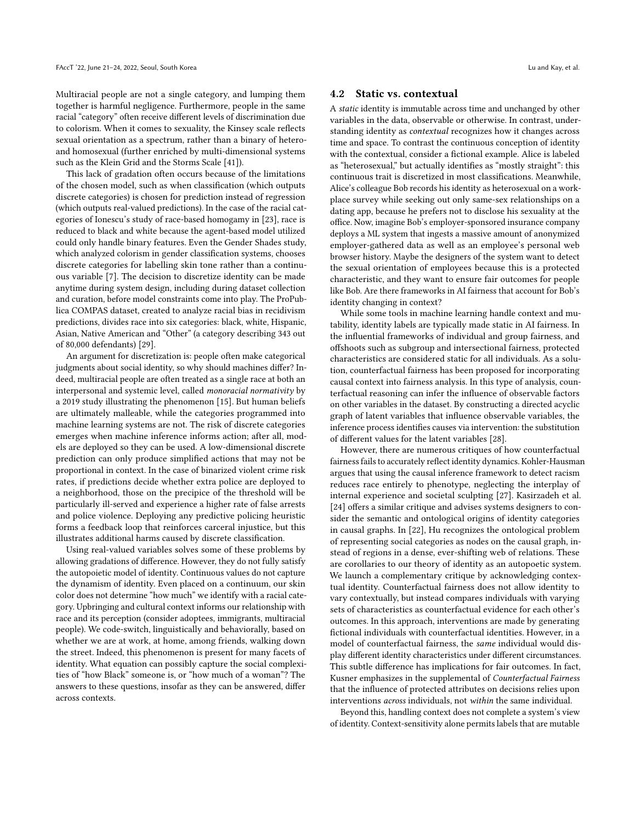Multiracial people are not a single category, and lumping them together is harmful negligence. Furthermore, people in the same racial "category" often receive different levels of discrimination due to colorism. When it comes to sexuality, the Kinsey scale reflects sexual orientation as a spectrum, rather than a binary of heteroand homosexual (further enriched by multi-dimensional systems such as the Klein Grid and the Storms Scale [\[41\]](#page-10-4)).

This lack of gradation often occurs because of the limitations of the chosen model, such as when classification (which outputs discrete categories) is chosen for prediction instead of regression (which outputs real-valued predictions). In the case of the racial categories of Ionescu's study of race-based homogamy in [\[23\]](#page-9-13), race is reduced to black and white because the agent-based model utilized could only handle binary features. Even the Gender Shades study, which analyzed colorism in gender classification systems, chooses discrete categories for labelling skin tone rather than a continuous variable [\[7\]](#page-9-14). The decision to discretize identity can be made anytime during system design, including during dataset collection and curation, before model constraints come into play. The ProPublica COMPAS dataset, created to analyze racial bias in recidivism predictions, divides race into six categories: black, white, Hispanic, Asian, Native American and "Other" (a category describing 343 out of 80,000 defendants) [\[29\]](#page-9-11).

An argument for discretization is: people often make categorical judgments about social identity, so why should machines differ? Indeed, multiracial people are often treated as a single race at both an interpersonal and systemic level, called monoracial normativity by a 2019 study illustrating the phenomenon [\[15\]](#page-9-15). But human beliefs are ultimately malleable, while the categories programmed into machine learning systems are not. The risk of discrete categories emerges when machine inference informs action; after all, models are deployed so they can be used. A low-dimensional discrete prediction can only produce simplified actions that may not be proportional in context. In the case of binarized violent crime risk rates, if predictions decide whether extra police are deployed to a neighborhood, those on the precipice of the threshold will be particularly ill-served and experience a higher rate of false arrests and police violence. Deploying any predictive policing heuristic forms a feedback loop that reinforces carceral injustice, but this illustrates additional harms caused by discrete classification.

Using real-valued variables solves some of these problems by allowing gradations of difference. However, they do not fully satisfy the autopoietic model of identity. Continuous values do not capture the dynamism of identity. Even placed on a continuum, our skin color does not determine "how much" we identify with a racial category. Upbringing and cultural context informs our relationship with race and its perception (consider adoptees, immigrants, multiracial people). We code-switch, linguistically and behaviorally, based on whether we are at work, at home, among friends, walking down the street. Indeed, this phenomenon is present for many facets of identity. What equation can possibly capture the social complexities of "how Black" someone is, or "how much of a woman"? The answers to these questions, insofar as they can be answered, differ across contexts.

#### 4.2 Static vs. contextual

A static identity is immutable across time and unchanged by other variables in the data, observable or otherwise. In contrast, understanding identity as contextual recognizes how it changes across time and space. To contrast the continuous conception of identity with the contextual, consider a fictional example. Alice is labeled as "heterosexual," but actually identifies as "mostly straight": this continuous trait is discretized in most classifications. Meanwhile, Alice's colleague Bob records his identity as heterosexual on a workplace survey while seeking out only same-sex relationships on a dating app, because he prefers not to disclose his sexuality at the office. Now, imagine Bob's employer-sponsored insurance company deploys a ML system that ingests a massive amount of anonymized employer-gathered data as well as an employee's personal web browser history. Maybe the designers of the system want to detect the sexual orientation of employees because this is a protected characteristic, and they want to ensure fair outcomes for people like Bob. Are there frameworks in AI fairness that account for Bob's identity changing in context?

While some tools in machine learning handle context and mutability, identity labels are typically made static in AI fairness. In the influential frameworks of individual and group fairness, and offshoots such as subgroup and intersectional fairness, protected characteristics are considered static for all individuals. As a solution, counterfactual fairness has been proposed for incorporating causal context into fairness analysis. In this type of analysis, counterfactual reasoning can infer the influence of observable factors on other variables in the dataset. By constructing a directed acyclic graph of latent variables that influence observable variables, the inference process identifies causes via intervention: the substitution of different values for the latent variables [\[28\]](#page-9-16).

However, there are numerous critiques of how counterfactual fairness fails to accurately reflect identity dynamics. Kohler-Hausman argues that using the causal inference framework to detect racism reduces race entirely to phenotype, neglecting the interplay of internal experience and societal sculpting [\[27\]](#page-9-17). Kasirzadeh et al. [\[24\]](#page-9-18) offers a similar critique and advises systems designers to consider the semantic and ontological origins of identity categories in causal graphs. In [\[22\]](#page-9-19), Hu recognizes the ontological problem of representing social categories as nodes on the causal graph, instead of regions in a dense, ever-shifting web of relations. These are corollaries to our theory of identity as an autopoetic system. We launch a complementary critique by acknowledging contextual identity. Counterfactual fairness does not allow identity to vary contextually, but instead compares individuals with varying sets of characteristics as counterfactual evidence for each other's outcomes. In this approach, interventions are made by generating fictional individuals with counterfactual identities. However, in a model of counterfactual fairness, the same individual would display different identity characteristics under different circumstances. This subtle difference has implications for fair outcomes. In fact, Kusner emphasizes in the supplemental of Counterfactual Fairness that the influence of protected attributes on decisions relies upon interventions across individuals, not within the same individual.

Beyond this, handling context does not complete a system's view of identity. Context-sensitivity alone permits labels that are mutable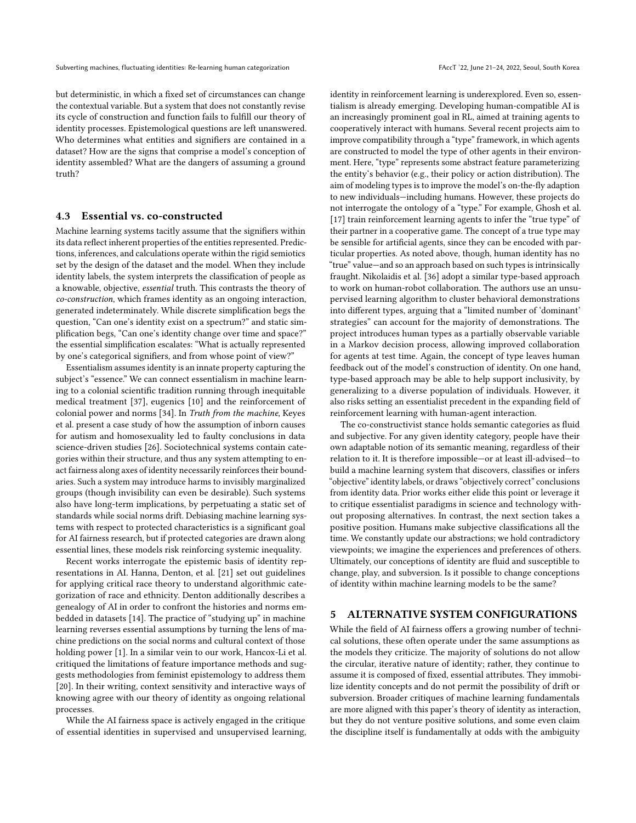but deterministic, in which a fixed set of circumstances can change the contextual variable. But a system that does not constantly revise its cycle of construction and function fails to fulfill our theory of identity processes. Epistemological questions are left unanswered. Who determines what entities and signifiers are contained in a dataset? How are the signs that comprise a model's conception of identity assembled? What are the dangers of assuming a ground truth?

#### 4.3 Essential vs. co-constructed

Machine learning systems tacitly assume that the signifiers within its data reflect inherent properties of the entities represented. Predictions, inferences, and calculations operate within the rigid semiotics set by the design of the dataset and the model. When they include identity labels, the system interprets the classification of people as a knowable, objective, essential truth. This contrasts the theory of co-construction, which frames identity as an ongoing interaction, generated indeterminately. While discrete simplification begs the question, "Can one's identity exist on a spectrum?" and static simplification begs, "Can one's identity change over time and space?" the essential simplification escalates: "What is actually represented by one's categorical signifiers, and from whose point of view?"

Essentialism assumes identity is an innate property capturing the subject's "essence." We can connect essentialism in machine learning to a colonial scientific tradition running through inequitable medical treatment [\[37\]](#page-10-5), eugenics [\[10\]](#page-9-20) and the reinforcement of colonial power and norms [\[34\]](#page-9-21). In Truth from the machine, Keyes et al. present a case study of how the assumption of inborn causes for autism and homosexuality led to faulty conclusions in data science-driven studies [\[26\]](#page-9-22). Sociotechnical systems contain categories within their structure, and thus any system attempting to enact fairness along axes of identity necessarily reinforces their boundaries. Such a system may introduce harms to invisibly marginalized groups (though invisibility can even be desirable). Such systems also have long-term implications, by perpetuating a static set of standards while social norms drift. Debiasing machine learning systems with respect to protected characteristics is a significant goal for AI fairness research, but if protected categories are drawn along essential lines, these models risk reinforcing systemic inequality.

Recent works interrogate the epistemic basis of identity representations in AI. Hanna, Denton, et al. [\[21\]](#page-9-23) set out guidelines for applying critical race theory to understand algorithmic categorization of race and ethnicity. Denton additionally describes a genealogy of AI in order to confront the histories and norms embedded in datasets [\[14\]](#page-9-24). The practice of "studying up" in machine learning reverses essential assumptions by turning the lens of machine predictions on the social norms and cultural context of those holding power [\[1\]](#page-9-25). In a similar vein to our work, Hancox-Li et al. critiqued the limitations of feature importance methods and suggests methodologies from feminist epistemology to address them [\[20\]](#page-9-26). In their writing, context sensitivity and interactive ways of knowing agree with our theory of identity as ongoing relational processes.

While the AI fairness space is actively engaged in the critique of essential identities in supervised and unsupervised learning,

identity in reinforcement learning is underexplored. Even so, essentialism is already emerging. Developing human-compatible AI is an increasingly prominent goal in RL, aimed at training agents to cooperatively interact with humans. Several recent projects aim to improve compatibility through a "type" framework, in which agents are constructed to model the type of other agents in their environment. Here, "type" represents some abstract feature parameterizing the entity's behavior (e.g., their policy or action distribution). The aim of modeling types is to improve the model's on-the-fly adaption to new individuals—including humans. However, these projects do not interrogate the ontology of a "type." For example, Ghosh et al. [\[17\]](#page-9-27) train reinforcement learning agents to infer the "true type" of their partner in a cooperative game. The concept of a true type may be sensible for artificial agents, since they can be encoded with particular properties. As noted above, though, human identity has no "true" value—and so an approach based on such types is intrinsically fraught. Nikolaidis et al. [\[36\]](#page-10-6) adopt a similar type-based approach to work on human-robot collaboration. The authors use an unsupervised learning algorithm to cluster behavioral demonstrations into different types, arguing that a "limited number of 'dominant' strategies" can account for the majority of demonstrations. The project introduces human types as a partially observable variable in a Markov decision process, allowing improved collaboration for agents at test time. Again, the concept of type leaves human feedback out of the model's construction of identity. On one hand, type-based approach may be able to help support inclusivity, by generalizing to a diverse population of individuals. However, it also risks setting an essentialist precedent in the expanding field of reinforcement learning with human-agent interaction.

The co-constructivist stance holds semantic categories as fluid and subjective. For any given identity category, people have their own adaptable notion of its semantic meaning, regardless of their relation to it. It is therefore impossible—or at least ill-advised—to build a machine learning system that discovers, classifies or infers "objective" identity labels, or draws "objectively correct" conclusions from identity data. Prior works either elide this point or leverage it to critique essentialist paradigms in science and technology without proposing alternatives. In contrast, the next section takes a positive position. Humans make subjective classifications all the time. We constantly update our abstractions; we hold contradictory viewpoints; we imagine the experiences and preferences of others. Ultimately, our conceptions of identity are fluid and susceptible to change, play, and subversion. Is it possible to change conceptions of identity within machine learning models to be the same?

#### <span id="page-6-0"></span>5 ALTERNATIVE SYSTEM CONFIGURATIONS

While the field of AI fairness offers a growing number of technical solutions, these often operate under the same assumptions as the models they criticize. The majority of solutions do not allow the circular, iterative nature of identity; rather, they continue to assume it is composed of fixed, essential attributes. They immobilize identity concepts and do not permit the possibility of drift or subversion. Broader critiques of machine learning fundamentals are more aligned with this paper's theory of identity as interaction, but they do not venture positive solutions, and some even claim the discipline itself is fundamentally at odds with the ambiguity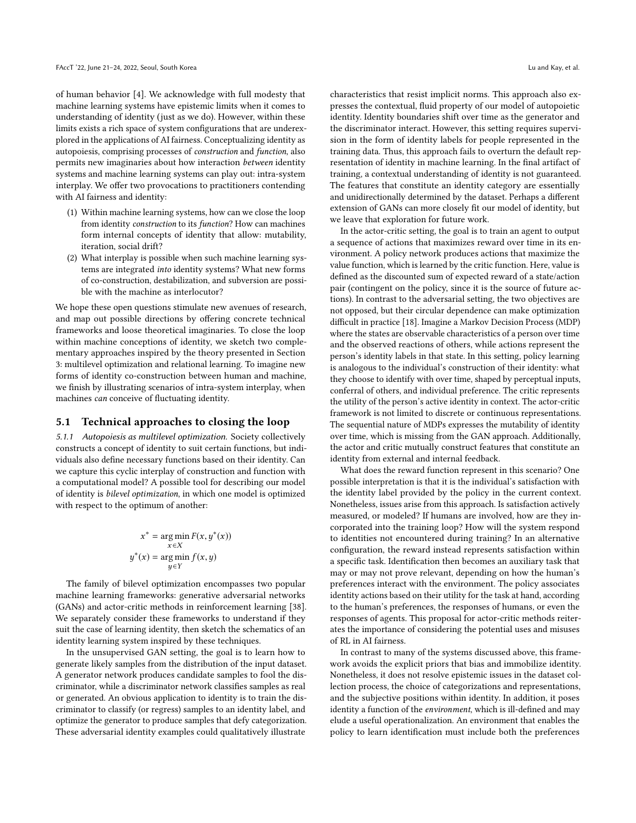of human behavior [\[4\]](#page-9-28). We acknowledge with full modesty that machine learning systems have epistemic limits when it comes to understanding of identity (just as we do). However, within these limits exists a rich space of system configurations that are underexplored in the applications of AI fairness. Conceptualizing identity as autopoiesis, comprising processes of construction and function, also permits new imaginaries about how interaction between identity systems and machine learning systems can play out: intra-system interplay. We offer two provocations to practitioners contending with AI fairness and identity:

- (1) Within machine learning systems, how can we close the loop from identity construction to its function? How can machines form internal concepts of identity that allow: mutability, iteration, social drift?
- (2) What interplay is possible when such machine learning systems are integrated into identity systems? What new forms of co-construction, destabilization, and subversion are possible with the machine as interlocutor?

We hope these open questions stimulate new avenues of research, and map out possible directions by offering concrete technical frameworks and loose theoretical imaginaries. To close the loop within machine conceptions of identity, we sketch two complementary approaches inspired by the theory presented in Section [3:](#page-2-0) multilevel optimization and relational learning. To imagine new forms of identity co-construction between human and machine, we finish by illustrating scenarios of intra-system interplay, when machines can conceive of fluctuating identity.

#### 5.1 Technical approaches to closing the loop

5.1.1 Autopoiesis as multilevel optimization. Society collectively constructs a concept of identity to suit certain functions, but individuals also define necessary functions based on their identity. Can we capture this cyclic interplay of construction and function with a computational model? A possible tool for describing our model of identity is bilevel optimization, in which one model is optimized with respect to the optimum of another:

$$
x^* = \underset{x \in X}{\arg \min} F(x, y^*(x))
$$

$$
y^*(x) = \underset{y \in Y}{\arg \min} f(x, y)
$$

The family of bilevel optimization encompasses two popular machine learning frameworks: generative adversarial networks (GANs) and actor-critic methods in reinforcement learning [\[38\]](#page-10-7). We separately consider these frameworks to understand if they suit the case of learning identity, then sketch the schematics of an identity learning system inspired by these techniques.

In the unsupervised GAN setting, the goal is to learn how to generate likely samples from the distribution of the input dataset. A generator network produces candidate samples to fool the discriminator, while a discriminator network classifies samples as real or generated. An obvious application to identity is to train the discriminator to classify (or regress) samples to an identity label, and optimize the generator to produce samples that defy categorization. These adversarial identity examples could qualitatively illustrate

characteristics that resist implicit norms. This approach also expresses the contextual, fluid property of our model of autopoietic identity. Identity boundaries shift over time as the generator and the discriminator interact. However, this setting requires supervision in the form of identity labels for people represented in the training data. Thus, this approach fails to overturn the default representation of identity in machine learning. In the final artifact of training, a contextual understanding of identity is not guaranteed. The features that constitute an identity category are essentially and unidirectionally determined by the dataset. Perhaps a different extension of GANs can more closely fit our model of identity, but we leave that exploration for future work.

In the actor-critic setting, the goal is to train an agent to output a sequence of actions that maximizes reward over time in its environment. A policy network produces actions that maximize the value function, which is learned by the critic function. Here, value is defined as the discounted sum of expected reward of a state/action pair (contingent on the policy, since it is the source of future actions). In contrast to the adversarial setting, the two objectives are not opposed, but their circular dependence can make optimization difficult in practice [\[18\]](#page-9-29). Imagine a Markov Decision Process (MDP) where the states are observable characteristics of a person over time and the observed reactions of others, while actions represent the person's identity labels in that state. In this setting, policy learning is analogous to the individual's construction of their identity: what they choose to identify with over time, shaped by perceptual inputs, conferral of others, and individual preference. The critic represents the utility of the person's active identity in context. The actor-critic framework is not limited to discrete or continuous representations. The sequential nature of MDPs expresses the mutability of identity over time, which is missing from the GAN approach. Additionally, the actor and critic mutually construct features that constitute an identity from external and internal feedback.

What does the reward function represent in this scenario? One possible interpretation is that it is the individual's satisfaction with the identity label provided by the policy in the current context. Nonetheless, issues arise from this approach. Is satisfaction actively measured, or modeled? If humans are involved, how are they incorporated into the training loop? How will the system respond to identities not encountered during training? In an alternative configuration, the reward instead represents satisfaction within a specific task. Identification then becomes an auxiliary task that may or may not prove relevant, depending on how the human's preferences interact with the environment. The policy associates identity actions based on their utility for the task at hand, according to the human's preferences, the responses of humans, or even the responses of agents. This proposal for actor-critic methods reiterates the importance of considering the potential uses and misuses of RL in AI fairness.

In contrast to many of the systems discussed above, this framework avoids the explicit priors that bias and immobilize identity. Nonetheless, it does not resolve epistemic issues in the dataset collection process, the choice of categorizations and representations, and the subjective positions within identity. In addition, it poses identity a function of the environment, which is ill-defined and may elude a useful operationalization. An environment that enables the policy to learn identification must include both the preferences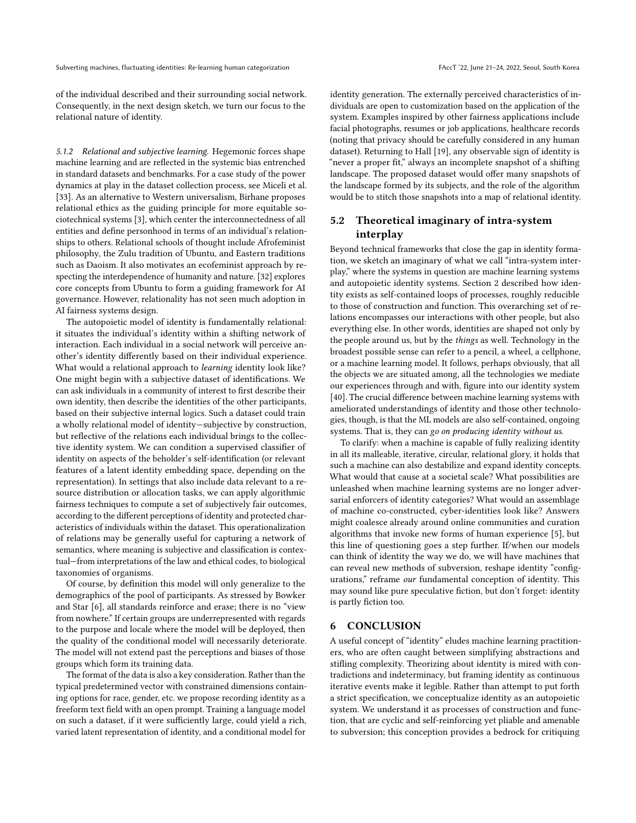Subverting machines, fluctuating identities: Re-learning human categorization FACC 122, June 21-24, 2022, Seoul, South Korea

of the individual described and their surrounding social network. Consequently, in the next design sketch, we turn our focus to the relational nature of identity.

5.1.2 Relational and subjective learning. Hegemonic forces shape machine learning and are reflected in the systemic bias entrenched in standard datasets and benchmarks. For a case study of the power dynamics at play in the dataset collection process, see Miceli et al. [\[33\]](#page-9-30). As an alternative to Western universalism, Birhane proposes relational ethics as the guiding principle for more equitable sociotechnical systems [\[3\]](#page-9-31), which center the interconnectedness of all entities and define personhood in terms of an individual's relationships to others. Relational schools of thought include Afrofeminist philosophy, the Zulu tradition of Ubuntu, and Eastern traditions such as Daoism. It also motivates an ecofeminist approach by respecting the interdependence of humanity and nature. [\[32\]](#page-9-32) explores core concepts from Ubuntu to form a guiding framework for AI governance. However, relationality has not seen much adoption in AI fairness systems design.

The autopoietic model of identity is fundamentally relational: it situates the individual's identity within a shifting network of interaction. Each individual in a social network will perceive another's identity differently based on their individual experience. What would a relational approach to *learning* identity look like? One might begin with a subjective dataset of identifications. We can ask individuals in a community of interest to first describe their own identity, then describe the identities of the other participants, based on their subjective internal logics. Such a dataset could train a wholly relational model of identity—subjective by construction, but reflective of the relations each individual brings to the collective identity system. We can condition a supervised classifier of identity on aspects of the beholder's self-identification (or relevant features of a latent identity embedding space, depending on the representation). In settings that also include data relevant to a resource distribution or allocation tasks, we can apply algorithmic fairness techniques to compute a set of subjectively fair outcomes, according to the different perceptions of identity and protected characteristics of individuals within the dataset. This operationalization of relations may be generally useful for capturing a network of semantics, where meaning is subjective and classification is contextual—from interpretations of the law and ethical codes, to biological taxonomies of organisms.

Of course, by definition this model will only generalize to the demographics of the pool of participants. As stressed by Bowker and Star [\[6\]](#page-9-0), all standards reinforce and erase; there is no "view from nowhere." If certain groups are underrepresented with regards to the purpose and locale where the model will be deployed, then the quality of the conditional model will necessarily deteriorate. The model will not extend past the perceptions and biases of those groups which form its training data.

The format of the data is also a key consideration. Rather than the typical predetermined vector with constrained dimensions containing options for race, gender, etc. we propose recording identity as a freeform text field with an open prompt. Training a language model on such a dataset, if it were sufficiently large, could yield a rich, varied latent representation of identity, and a conditional model for

identity generation. The externally perceived characteristics of individuals are open to customization based on the application of the system. Examples inspired by other fairness applications include facial photographs, resumes or job applications, healthcare records (noting that privacy should be carefully considered in any human dataset). Returning to Hall [\[19\]](#page-9-3), any observable sign of identity is "never a proper fit," always an incomplete snapshot of a shifting landscape. The proposed dataset would offer many snapshots of the landscape formed by its subjects, and the role of the algorithm would be to stitch those snapshots into a map of relational identity.

# 5.2 Theoretical imaginary of intra-system interplay

Beyond technical frameworks that close the gap in identity formation, we sketch an imaginary of what we call "intra-system interplay," where the systems in question are machine learning systems and autopoietic identity systems. Section [2](#page-1-0) described how identity exists as self-contained loops of processes, roughly reducible to those of construction and function. This overarching set of relations encompasses our interactions with other people, but also everything else. In other words, identities are shaped not only by the people around us, but by the things as well. Technology in the broadest possible sense can refer to a pencil, a wheel, a cellphone, or a machine learning model. It follows, perhaps obviously, that all the objects we are situated among, all the technologies we mediate our experiences through and with, figure into our identity system [\[40\]](#page-10-8). The crucial difference between machine learning systems with ameliorated understandings of identity and those other technologies, though, is that the ML models are also self-contained, ongoing systems. That is, they can go on producing identity without us.

To clarify: when a machine is capable of fully realizing identity in all its malleable, iterative, circular, relational glory, it holds that such a machine can also destabilize and expand identity concepts. What would that cause at a societal scale? What possibilities are unleashed when machine learning systems are no longer adversarial enforcers of identity categories? What would an assemblage of machine co-constructed, cyber-identities look like? Answers might coalesce already around online communities and curation algorithms that invoke new forms of human experience [\[5\]](#page-9-33), but this line of questioning goes a step further. If/when our models can think of identity the way we do, we will have machines that can reveal new methods of subversion, reshape identity "configurations," reframe our fundamental conception of identity. This may sound like pure speculative fiction, but don't forget: identity is partly fiction too.

#### 6 CONCLUSION

A useful concept of "identity" eludes machine learning practitioners, who are often caught between simplifying abstractions and stifling complexity. Theorizing about identity is mired with contradictions and indeterminacy, but framing identity as continuous iterative events make it legible. Rather than attempt to put forth a strict specification, we conceptualize identity as an autopoietic system. We understand it as processes of construction and function, that are cyclic and self-reinforcing yet pliable and amenable to subversion; this conception provides a bedrock for critiquing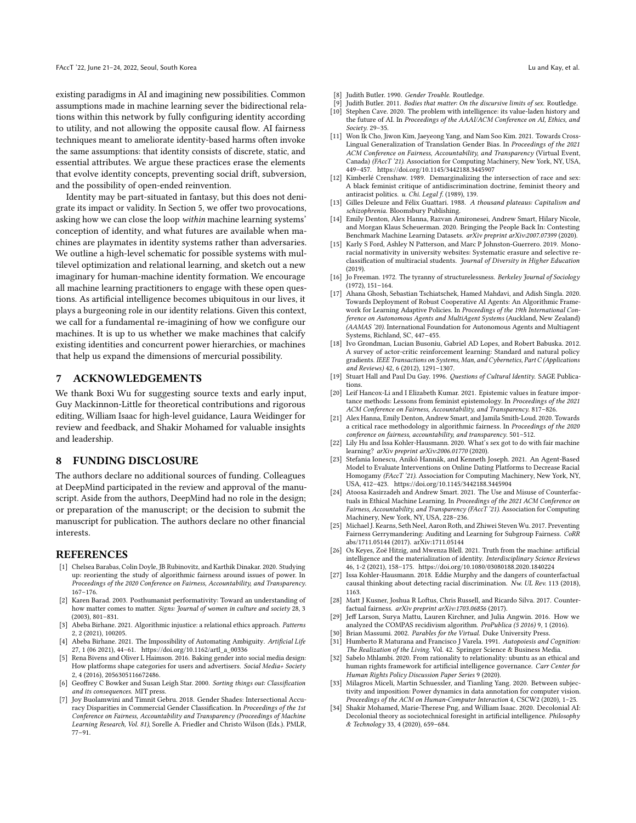existing paradigms in AI and imagining new possibilities. Common assumptions made in machine learning sever the bidirectional relations within this network by fully configuring identity according to utility, and not allowing the opposite causal flow. AI fairness techniques meant to ameliorate identity-based harms often invoke the same assumptions: that identity consists of discrete, static, and essential attributes. We argue these practices erase the elements that evolve identity concepts, preventing social drift, subversion, and the possibility of open-ended reinvention.

Identity may be part-situated in fantasy, but this does not denigrate its impact or validity. In Section [5,](#page-6-0) we offer two provocations, asking how we can close the loop within machine learning systems' conception of identity, and what futures are available when machines are playmates in identity systems rather than adversaries. We outline a high-level schematic for possible systems with multilevel optimization and relational learning, and sketch out a new imaginary for human-machine identity formation. We encourage all machine learning practitioners to engage with these open questions. As artificial intelligence becomes ubiquitous in our lives, it plays a burgeoning role in our identity relations. Given this context, we call for a fundamental re-imagining of how we configure our machines. It is up to us whether we make machines that calcify existing identities and concurrent power hierarchies, or machines that help us expand the dimensions of mercurial possibility.

#### **ACKNOWLEDGEMENTS**

We thank Boxi Wu for suggesting source texts and early input, Guy Mackinnon-Little for theoretical contributions and rigorous editing, William Isaac for high-level guidance, Laura Weidinger for review and feedback, and Shakir Mohamed for valuable insights and leadership.

#### 8 FUNDING DISCLOSURE

The authors declare no additional sources of funding. Colleagues at DeepMind participated in the review and approval of the manuscript. Aside from the authors, DeepMind had no role in the design; or preparation of the manuscript; or the decision to submit the manuscript for publication. The authors declare no other financial interests.

#### **REFERENCES**

- <span id="page-9-25"></span>[1] Chelsea Barabas, Colin Doyle, JB Rubinovitz, and Karthik Dinakar. 2020. Studying up: reorienting the study of algorithmic fairness around issues of power. In Proceedings of the 2020 Conference on Fairness, Accountability, and Transparency. 167–176.
- <span id="page-9-5"></span>[2] Karen Barad. 2003. Posthumanist performativity: Toward an understanding of how matter comes to matter. Signs: Journal of women in culture and society 28, 3 (2003), 801–831.
- <span id="page-9-31"></span>[3] Abeba Birhane. 2021. Algorithmic injustice: a relational ethics approach. Patterns 2, 2 (2021), 100205.
- <span id="page-9-28"></span>[4] Abeba Birhane. 2021. The Impossibility of Automating Ambiguity. Artificial Life 27, 1 (06 2021), 44–61. [https://doi.org/10.1162/artl\\_a\\_00336](https://doi.org/10.1162/artl_a_00336)
- <span id="page-9-33"></span>[5] Rena Bivens and Oliver L Haimson. 2016. Baking gender into social media design: How platforms shape categories for users and advertisers. Social Media+ Society 2, 4 (2016), 2056305116672486.
- <span id="page-9-0"></span>[6] Geoffrey C Bowker and Susan Leigh Star. 2000. Sorting things out: Classification and its consequences. MIT press.
- <span id="page-9-14"></span>[7] Joy Buolamwini and Timnit Gebru. 2018. Gender Shades: Intersectional Accuracy Disparities in Commercial Gender Classification. In Proceedings of the 1st Conference on Fairness, Accountability and Transparency (Proceedings of Machine Learning Research, Vol. 81), Sorelle A. Friedler and Christo Wilson (Eds.). PMLR, 77–91.
- <span id="page-9-1"></span>[8] Judith Butler. 1990. Gender Trouble. Routledge.
- <span id="page-9-9"></span>Judith Butler. 2011. Bodies that matter: On the discursive limits of sex. Routledge.
- <span id="page-9-20"></span>[10] Stephen Cave. 2020. The problem with intelligence: its value-laden history and the future of AI. In Proceedings of the AAAI/ACM Conference on AI, Ethics, and Society. 29–35.
- <span id="page-9-10"></span>[11] Won Ik Cho, Jiwon Kim, Jaeyeong Yang, and Nam Soo Kim. 2021. Towards Cross-Lingual Generalization of Translation Gender Bias. In Proceedings of the 2021 ACM Conference on Fairness, Accountability, and Transparency (Virtual Event, Canada) (FAccT '21). Association for Computing Machinery, New York, NY, USA, 449–457.<https://doi.org/10.1145/3442188.3445907>
- <span id="page-9-6"></span>[12] Kimberlé Crenshaw. 1989. Demarginalizing the intersection of race and sex: A black feminist critique of antidiscrimination doctrine, feminist theory and antiracist politics. u. Chi. Legal f. (1989), 139.
- <span id="page-9-7"></span>[13] Gilles Deleuze and Félix Guattari. 1988. A thousand plateaus: Capitalism and schizophrenia. Bloomsbury Publishing.
- <span id="page-9-24"></span>[14] Emily Denton, Alex Hanna, Razvan Amironesei, Andrew Smart, Hilary Nicole, and Morgan Klaus Scheuerman. 2020. Bringing the People Back In: Contesting Benchmark Machine Learning Datasets. arXiv preprint arXiv:2007.07399 (2020).
- <span id="page-9-15"></span>[15] Karly S Ford, Ashley N Patterson, and Marc P Johnston-Guerrero. 2019. Monoracial normativity in university websites: Systematic erasure and selective reclassification of multiracial students. Journal of Diversity in Higher Education (2019).
- <span id="page-9-4"></span>[16] Jo Freeman. 1972. The tyranny of structurelessness. Berkeley Journal of Sociology (1972), 151–164.
- <span id="page-9-27"></span>[17] Ahana Ghosh, Sebastian Tschiatschek, Hamed Mahdavi, and Adish Singla. 2020. Towards Deployment of Robust Cooperative AI Agents: An Algorithmic Framework for Learning Adaptive Policies. In Proceedings of the 19th International Conference on Autonomous Agents and MultiAgent Systems (Auckland, New Zealand) (AAMAS '20). International Foundation for Autonomous Agents and Multiagent Systems, Richland, SC, 447–455.
- <span id="page-9-29"></span>[18] Ivo Grondman, Lucian Busoniu, Gabriel AD Lopes, and Robert Babuska. 2012. A survey of actor-critic reinforcement learning: Standard and natural policy gradients. IEEE Transactions on Systems, Man, and Cybernetics, Part C (Applications and Reviews) 42, 6 (2012), 1291–1307.
- <span id="page-9-3"></span>[19] Stuart Hall and Paul Du Gay. 1996. Questions of Cultural Identity. SAGE Publications.
- <span id="page-9-26"></span>[20] Leif Hancox-Li and I Elizabeth Kumar. 2021. Epistemic values in feature importance methods: Lessons from feminist epistemology. In Proceedings of the 2021 ACM Conference on Fairness, Accountability, and Transparency. 817–826.
- <span id="page-9-23"></span>[21] Alex Hanna, Emily Denton, Andrew Smart, and Jamila Smith-Loud. 2020. Towards a critical race methodology in algorithmic fairness. In Proceedings of the 2020 conference on fairness, accountability, and transparency. 501–512.
- <span id="page-9-19"></span>[22] Lily Hu and Issa Kohler-Hausmann. 2020. What's sex got to do with fair machine learning? arXiv preprint arXiv:2006.01770 (2020).
- <span id="page-9-13"></span>[23] Stefania Ionescu, Anikó Hannák, and Kenneth Joseph. 2021. An Agent-Based Model to Evaluate Interventions on Online Dating Platforms to Decrease Racial Homogamy (FAccT '21). Association for Computing Machinery, New York, NY, USA, 412–423.<https://doi.org/10.1145/3442188.3445904>
- <span id="page-9-18"></span>[24] Atoosa Kasirzadeh and Andrew Smart. 2021. The Use and Misuse of Counterfactuals in Ethical Machine Learning. In Proceedings of the 2021 ACM Conference on Fairness, Accountability, and Transparency (FAccT '21). Association for Computing Machinery, New York, NY, USA, 228–236.
- <span id="page-9-12"></span>[25] Michael J. Kearns, Seth Neel, Aaron Roth, and Zhiwei Steven Wu. 2017. Preventing Fairness Gerrymandering: Auditing and Learning for Subgroup Fairness. CoRR abs/1711.05144 (2017). arXiv[:1711.05144](https://arxiv.org/abs/1711.05144)
- <span id="page-9-22"></span>[26] Os Keyes, Zoë Hitzig, and Mwenza Blell. 2021. Truth from the machine: artificial intelligence and the materialization of identity. Interdisciplinary Science Reviews 46, 1-2 (2021), 158–175.<https://doi.org/10.1080/03080188.2020.1840224>
- <span id="page-9-17"></span>[27] Issa Kohler-Hausmann. 2018. Eddie Murphy and the dangers of counterfactual causal thinking about detecting racial discrimination. Nw. UL Rev. 113 (2018), 1163.
- <span id="page-9-16"></span>[28] Matt J Kusner, Joshua R Loftus, Chris Russell, and Ricardo Silva. 2017. Counterfactual fairness. arXiv preprint arXiv:1703.06856 (2017).
- <span id="page-9-11"></span>[29] Jeff Larson, Surya Mattu, Lauren Kirchner, and Julia Angwin. 2016. How we analyzed the COMPAS recidivism algorithm. ProPublica (5 2016) 9, 1 (2016).
- <span id="page-9-8"></span><span id="page-9-2"></span>Brian Massumi. 2002. Parables for the Virtual. Duke University Press. [31] Humberto R Maturana and Francisco J Varela. 1991. Autopoiesis and Cognition:
- The Realization of the Living. Vol. 42. Springer Science & Business Media
- <span id="page-9-32"></span>[32] Sabelo Mhlambi. 2020. From rationality to relationality: ubuntu as an ethical and human rights framework for artificial intelligence governance. Carr Center for Human Rights Policy Discussion Paper Series 9 (2020).
- <span id="page-9-30"></span>[33] Milagros Miceli, Martin Schuessler, and Tianling Yang. 2020. Between subjectivity and imposition: Power dynamics in data annotation for computer vision. Proceedings of the ACM on Human-Computer Interaction 4, CSCW2 (2020), 1–25.
- <span id="page-9-21"></span>[34] Shakir Mohamed, Marie-Therese Png, and William Isaac. 2020. Decolonial AI: Decolonial theory as sociotechnical foresight in artificial intelligence. Philosophy & Technology 33, 4 (2020), 659–684.